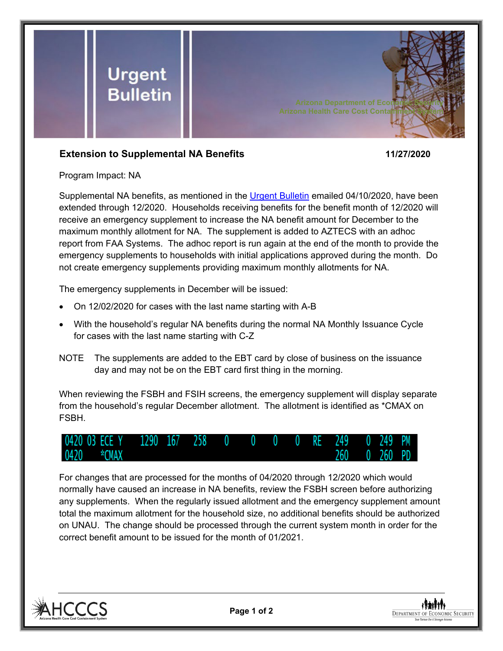

## **Extension to Supplemental NA Benefits 11/27/2020**

Program Impact: NA

Supplemental NA benefits, as mentioned in the [Urgent Bulletin](https://dbmefaapolicy.azdes.gov/FAA5/baggage/Urgent%20Bulletin%20(04-10-2020)%20-%20Supplemental%20Nutrition%20Assistance%20Benefits%20for%20Participants.pdf) emailed 04/10/2020, have been extended through 12/2020. Households receiving benefits for the benefit month of 12/2020 will receive an emergency supplement to increase the NA benefit amount for December to the maximum monthly allotment for NA. The supplement is added to AZTECS with an adhoc report from FAA Systems. The adhoc report is run again at the end of the month to provide the emergency supplements to households with initial applications approved during the month. Do not create emergency supplements providing maximum monthly allotments for NA.

The emergency supplements in December will be issued:

- On 12/02/2020 for cases with the last name starting with A-B
- With the household's regular NA benefits during the normal NA Monthly Issuance Cycle for cases with the last name starting with C-Z
- NOTE The supplements are added to the EBT card by close of business on the issuance day and may not be on the EBT card first thing in the morning.

When reviewing the FSBH and FSIH screens, the emergency supplement will display separate from the household's regular December allotment. The allotment is identified as \*CMAX on FSBH.



For changes that are processed for the months of 04/2020 through 12/2020 which would normally have caused an increase in NA benefits, review the FSBH screen before authorizing any supplements. When the regularly issued allotment and the emergency supplement amount total the maximum allotment for the household size, no additional benefits should be authorized on UNAU. The change should be processed through the current system month in order for the correct benefit amount to be issued for the month of 01/2021.